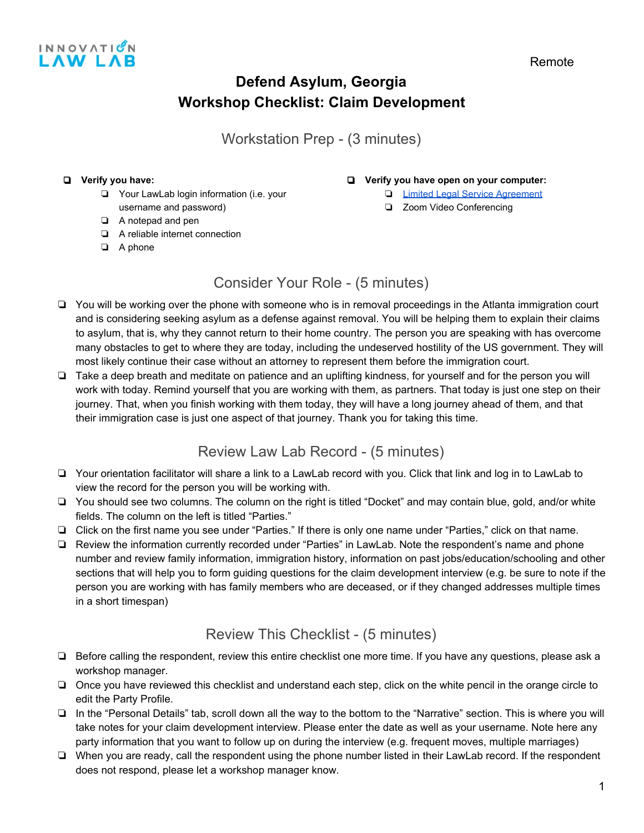

Workstation Prep - (3 minutes)

#### ❏ **Verify you have:**

- ❏ Your LawLab login information (i.e. your
- username and password)
- ❏ A notepad and pen
- ❏ A reliable internet connection
- ❏ A phone

#### ❏ **Verify you have open on your computer:**

- ❏ [Limited Legal Service Agreement](https://docs.google.com/document/d/1GHmnKwSI2N58YmxFCBksX9xj7-q3xAGxC5uVKGmoSV4/edit)
- ❏ Zoom Video Conferencing
- Consider Your Role (5 minutes)
- ❏ You will be working over the phone with someone who is in removal proceedings in the Atlanta immigration court and is considering seeking asylum as a defense against removal. You will be helping them to explain their claims to asylum, that is, why they cannot return to their home country. The person you are speaking with has overcome many obstacles to get to where they are today, including the undeserved hostility of the US government. They will most likely continue their case without an attorney to represent them before the immigration court.
- ❏ Take a deep breath and meditate on patience and an uplifting kindness, for yourself and for the person you will work with today. Remind yourself that you are working with them, as partners. That today is just one step on their journey. That, when you finish working with them today, they will have a long journey ahead of them, and that their immigration case is just one aspect of that journey. Thank you for taking this time.

## Review Law Lab Record - (5 minutes)

- ❏ Your orientation facilitator will share a link to a LawLab record with you. Click that link and log in to LawLab to view the record for the person you will be working with.
- ❏ You should see two columns. The column on the right is titled "Docket" and may contain blue, gold, and/or white fields. The column on the left is titled "Parties."
- ❏ Click on the first name you see under "Parties." If there is only one name under "Parties," click on that name.
- ❏ Review the information currently recorded under "Parties" in LawLab. Note the respondent's name and phone number and review family information, immigration history, information on past jobs/education/schooling and other sections that will help you to form guiding questions for the claim development interview (e.g. be sure to note if the person you are working with has family members who are deceased, or if they changed addresses multiple times in a short timespan)

## Review This Checklist - (5 minutes)

- ❏ Before calling the respondent, review this entire checklist one more time. If you have any questions, please ask a workshop manager.
- ❏ Once you have reviewed this checklist and understand each step, click on the white pencil in the orange circle to edit the Party Profile.
- ❏ In the "Personal Details" tab, scroll down all the way to the bottom to the "Narrative" section. This is where you will take notes for your claim development interview. Please enter the date as well as your username. Note here any party information that you want to follow up on during the interview (e.g. frequent moves, multiple marriages)
- ❏ When you are ready, call the respondent using the phone number listed in their LawLab record. If the respondent does not respond, please let a workshop manager know.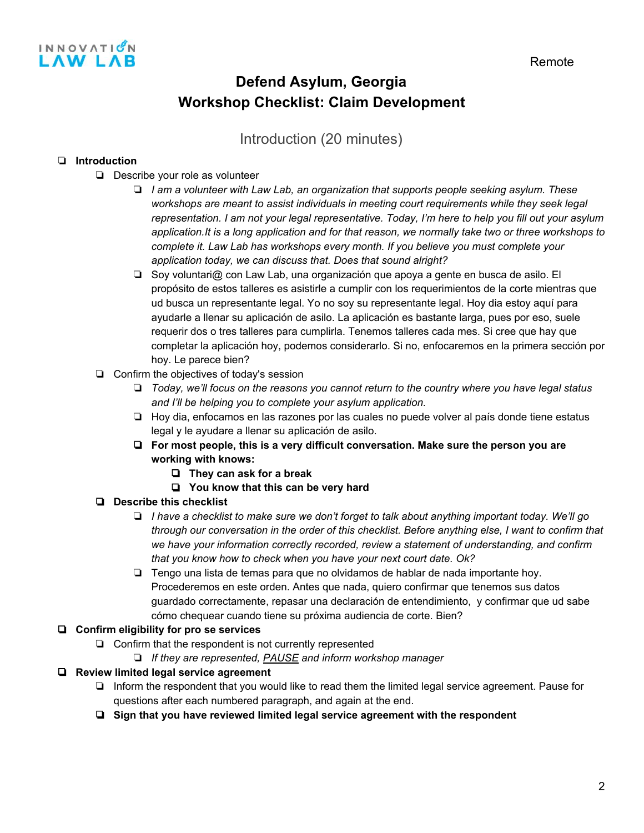

## Introduction (20 minutes)

### ❏ **Introduction**

- ❏ Describe your role as volunteer
	- ❏ *I am a volunteer with Law Lab, an organization that supports people seeking asylum. These workshops are meant to assist individuals in meeting court requirements while they seek legal representation. I am not your legal representative. Today, I'm here to help you fill out your asylum application.It is a long application and for that reason, we normally take two or three workshops to complete it. Law Lab has workshops every month. If you believe you must complete your application today, we can discuss that. Does that sound alright?*
	- ❏ Soy voluntari@ con Law Lab, una organización que apoya a gente en busca de asilo. El propósito de estos talleres es asistirle a cumplir con los requerimientos de la corte mientras que ud busca un representante legal. Yo no soy su representante legal. Hoy dia estoy aquí para ayudarle a llenar su aplicación de asilo. La aplicación es bastante larga, pues por eso, suele requerir dos o tres talleres para cumplirla. Tenemos talleres cada mes. Si cree que hay que completar la aplicación hoy, podemos considerarlo. Si no, enfocaremos en la primera sección por hoy. Le parece bien?
- ❏ Confirm the objectives of today's session
	- ❏ *Today, we'll focus on the reasons you cannot return to the country where you have legal status and I'll be helping you to complete your asylum application.*
	- ❏ Hoy dia, enfocamos en las razones por las cuales no puede volver al país donde tiene estatus legal y le ayudare a llenar su aplicación de asilo.
	- ❏ **For most people, this is a very difficult conversation. Make sure the person you are working with knows:**
		- ❏ **They can ask for a break**
		- ❏ **You know that this can be very hard**
- ❏ **Describe this checklist**
	- ❏ *I have a checklist to make sure we don't forget to talk about anything important today. We'll go through our conversation in the order of this checklist. Before anything else, I want to confirm that we have your information correctly recorded, review a statement of understanding, and confirm that you know how to check when you have your next court date. Ok?*
	- ❏ Tengo una lista de temas para que no olvidamos de hablar de nada importante hoy. Procederemos en este orden. Antes que nada, quiero confirmar que tenemos sus datos guardado correctamente, repasar una declaración de entendimiento, y confirmar que ud sabe cómo chequear cuando tiene su próxima audiencia de corte. Bien?

### ❏ **Confirm eligibility for pro se services**

- ❏ Confirm that the respondent is not currently represented
	- ❏ *If they are represented, PAUSE and inform workshop manager*
- ❏ **Review limited legal service agreement**
	- ❏ Inform the respondent that you would like to read them the limited legal service agreement. Pause for questions after each numbered paragraph, and again at the end.
	- ❏ **Sign that you have reviewed limited legal service agreement with the respondent**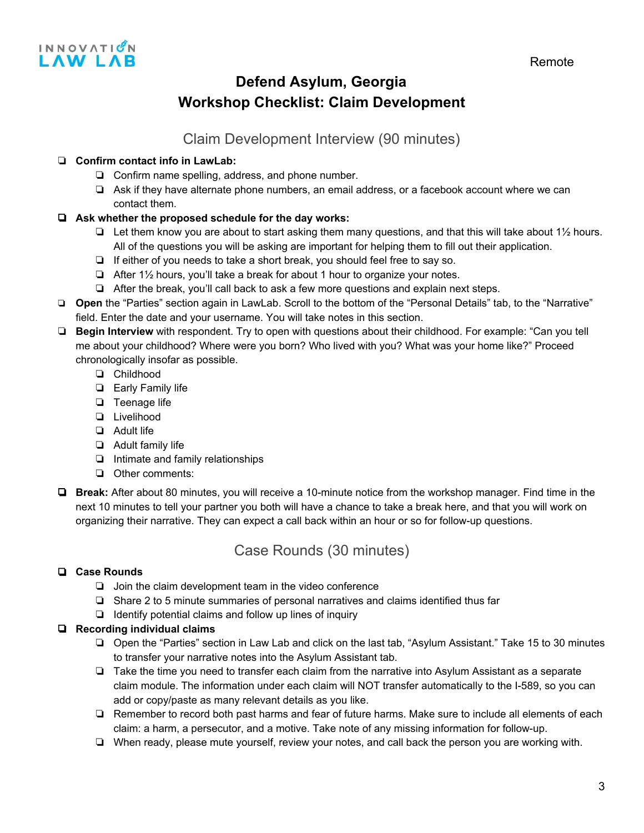

## Claim Development Interview (90 minutes)

### ❏ **Confirm contact info in LawLab:**

- ❏ Confirm name spelling, address, and phone number.
- ❏ Ask if they have alternate phone numbers, an email address, or a facebook account where we can contact them.

### ❏ **Ask whether the proposed schedule for the day works:**

- ❏ Let them know you are about to start asking them many questions, and that this will take about 1½ hours. All of the questions you will be asking are important for helping them to fill out their application.
- ❏ If either of you needs to take a short break, you should feel free to say so.
- ❏ After 1½ hours, you'll take a break for about 1 hour to organize your notes.
- ❏ After the break, you'll call back to ask a few more questions and explain next steps.
- ❏ **Open** the "Parties" section again in LawLab. Scroll to the bottom of the "Personal Details" tab, to the "Narrative" field. Enter the date and your username. You will take notes in this section.
- ❏ **Begin Interview** with respondent. Try to open with questions about their childhood. For example: "Can you tell me about your childhood? Where were you born? Who lived with you? What was your home like?" Proceed chronologically insofar as possible.
	- ❏ Childhood
	- ❏ Early Family life
	- ❏ Teenage life
	- ❏ Livelihood
	- ❏ Adult life
	- ❏ Adult family life
	- ❏ Intimate and family relationships
	- ❏ Other comments:
- ❏ **Break:** After about 80 minutes, you will receive a 10-minute notice from the workshop manager. Find time in the next 10 minutes to tell your partner you both will have a chance to take a break here, and that you will work on organizing their narrative. They can expect a call back within an hour or so for follow-up questions.

### Case Rounds (30 minutes)

#### ❏ **Case Rounds**

- ❏ Join the claim development team in the video conference
- ❏ Share 2 to 5 minute summaries of personal narratives and claims identified thus far
- ❏ Identify potential claims and follow up lines of inquiry

#### ❏ **Recording individual claims**

- ❏ Open the "Parties" section in Law Lab and click on the last tab, "Asylum Assistant." Take 15 to 30 minutes to transfer your narrative notes into the Asylum Assistant tab.
- ❏ Take the time you need to transfer each claim from the narrative into Asylum Assistant as a separate claim module. The information under each claim will NOT transfer automatically to the I-589, so you can add or copy/paste as many relevant details as you like.
- ❏ Remember to record both past harms and fear of future harms. Make sure to include all elements of each claim: a harm, a persecutor, and a motive. Take note of any missing information for follow-up.
- ❏ When ready, please mute yourself, review your notes, and call back the person you are working with.